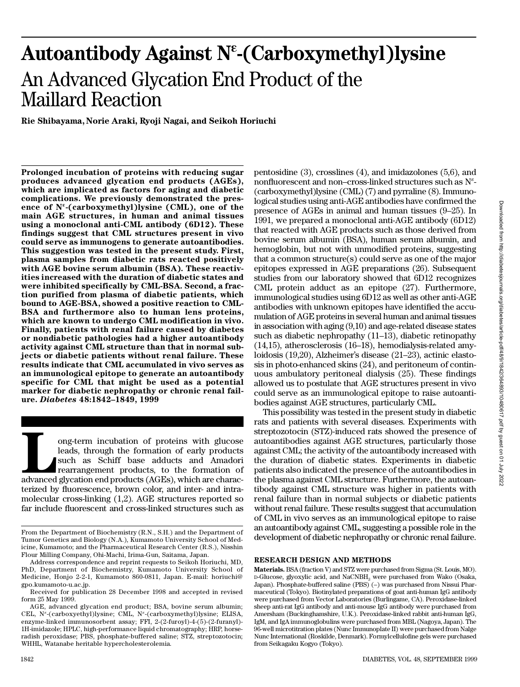# Autoantibody Against N<sup>ε</sup>-(Carboxymethyl)lysine An Advanced Glycation End Product of the Maillard Reaction

**Rie Shibayama, Norie Araki, Ryoji Nagai, and Seikoh Horiuchi**

**Prolonged incubation of proteins with reducing sugar produces advanced glycation end products (AGEs), which are implicated as factors for aging and diabetic complications. We previously demonstrated the presence of N**« **-(carboxymethyl)lysine (CML), one of the main AGE structures, in human and animal tissues using a monoclonal anti-CML antibody (6D12). These findings suggest that CML structures present in vivo could serve as immunogens to generate autoantibodies. This suggestion was tested in the present study. First, plasma samples from diabetic rats reacted positively with AGE bovine serum albumin (BSA). These reactivities increased with the duration of diabetic states and were inhibited specifically by CML-BSA. Second, a fraction purified from plasma of diabetic patients, which bound to AGE-BSA, showed a positive reaction to CML-BSA and furthermore also to human lens proteins, which are known to undergo CML modification in vivo.** Finally, patients with renal failure caused by diabetes **or nondiabetic pathologies had a higher autoantibody activity against CML structure than that in normal subjects or diabetic patients without renal failure. These results indicate that CML accumulated in vivo serves as an immunological epitope to generate an autoantibody specific for CML that might be used as a potential marker for diabetic nephropathy or chronic renal failure.** *D i a b e t e s* **48:1842–1849, 1999**

ong-term incubation of proteins with glucose<br>
leads, through the formation of early products<br>
such as Schiff base adducts and Amadori<br>
rearrangement products, to the formation of<br>
advanced glycation end products (AGEs), wh ong-term incubation of proteins with glucose leads, through the formation of early products such as Schiff base adducts and Amadori rearrangement products, to the formation of terized by fluorescence, brown color, and inter- and intramolecular cross-linking (1,2). AGE structures reported so far include fluorescent and cross-linked structures such as

pentosidine (3), crosslines (4), and imidazolones (5,6), and nonfluorescent and non–cross-linked structures such as N<sup>e</sup>-(carboxymethyl)lysine (CML) (7) and pyrraline (8). Immunological studies using anti-AGE antibodies have confirmed the presence of AGEs in animal and human tissues (9–25). In 1991, we prepared a monoclonal anti-AGE antibody (6D12) that reacted with AGE products such as those derived from bovine serum albumin (BSA), human serum albumin, and hemoglobin, but not with unmodified proteins, suggesting that a common structure(s) could serve as one of the major epitopes expressed in AGE preparations (26). Subsequent studies from our laboratory showed that 6D12 recognizes CML protein adduct as an epitope (27). Furthermore, immunological studies using 6D12 as well as other anti-AGE antibodies with unknown epitopes have identified the accumulation of AGE proteins in several human and animal tissues in association with aging (9,10) and age-related disease states such as diabetic nephropathy (11–13), diabetic retinopathy (14,15), atherosclerosis (16–18), hemodialysis-related amyloidosis (19,20), Alzheimer's disease (21–23), actinic elastosis in photo-enhanced skins (24), and peritoneum of continuous ambulatory peritoneal dialysis (25). These findings allowed us to postulate that AGE structures present in vivo could serve as an immunological epitope to raise autoantibodies against AGE structures, particularly CML.

This possibility was tested in the present study in diabetic rats and patients with several diseases. Experiments with streptozotocin (STZ)-induced rats showed the presence of autoantibodies against AGE structures, particularly those against CML; the activity of the autoantibody increased with the duration of diabetic states. Experiments in diabetic patients also indicated the presence of the autoantibodies in the plasma against CML structure. Furthermore, the autoantibody against CML structure was higher in patients with renal failure than in normal subjects or diabetic patients without renal failure. These results suggest that accumulation of CML in vivo serves as an immunological epitope to raise an autoantibody against CML, suggesting a possible role in the development of diabetic nephropathy or chronic renal failure.

#### **RESEARCH DESIGN AND METHODS**

Materials. BSA (fraction V) and STZ were purchased from Sigma (St. Louis, MO). D-Glucose, glyoxylic acid, and NaCNBH<sub>3</sub> were purchased from Wako (Osaka, Japan). Phosphate-buffered saline (PBS) (–) was purchased from Nissui Pharmaceutical (Tokyo). Biotinylated preparations of goat anti-human IgG antibody were purchased from Vector Laboratories (Burlingame, CA). Peroxidase-linked sheep anti-rat IgG antibody and anti-mouse IgG antibody were purchased from Amersham (Buckinghamshire, U.K.). Peroxidase-linked rabbit anti-human IgG, IgM, and IgA immunoglobulins were purchased from MBL (Nagoya, Japan). The 96-well microtitration plates (Nunc Immunoplate II) were purchased from Nalge Nunc International (Roskilde, Denmark). Formylcellulofine gels were purchased from Seikagaku Kogyo (Tokyo).

From the Department of Biochemistry (R.N., S.H.) and the Department of Tumor Genetics and Biology (N.A.), Kumamoto University School of Medicine, Kumamoto; and the Pharmaceutical Research Center (R.S.), Nisshin Flour Milling Company, Ohi-Machi, Irima-Gun, Saitama, Japan.

Address correspondence and reprint requests to Seikoh Horiuchi, MD, PhD, Department of Biochemistry, Kumamoto University School of Medicine, Honjo 2-2-1, Kumamoto 860-0811, Japan. E-mail: horiuchi@ gpo.kumamoto-u.ac.jp.

Received for publication 28 December 1998 and accepted in revised form 25 May 1999.

AGE, advanced glycation end product; BSA, bovine serum albumin; CEL, N<sup>®</sup>-(carboxyethyl)lysine; CML, N<sup>®</sup>-(carboxymethyl)lysine; ELISA, enzyme-linked immunosorbent assay; FFI, 2-(2-furoyl)-4-(5)-(2-furanyl)- 1H-imidazole; HPLC, high-performance liquid chromatography; HRP, horseradish peroxidase; PBS, phosphate-buffered saline; STZ, streptozotocin; WHHL, Watanabe heritable hypercholesterolemia.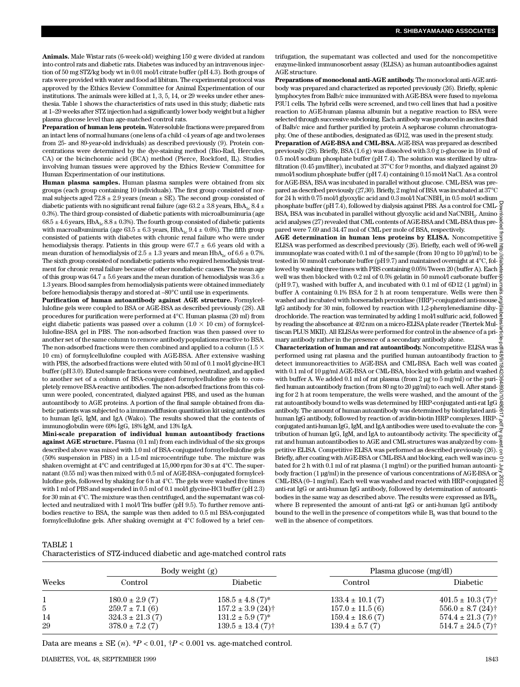Animals. Male Wistar rats (6-week-old) weighing 150 g were divided at random into control rats and diabetic rats. Diabetes was induced by an intravenous injection of 50 mg STZ/kg body wt in 0.01 mol/l citrate buffer (pH 4.3). Both groups of rats were provided with water and food ad libitum. The experimental protocol was approved by the Ethics Review Committee for Animal Experimentation of our institutions. The animals were killed at 1, 3, 5, 14, or 29 weeks under ether anesthesia. Table 1 shows the characteristics of rats used in this study; diabetic rats at 1–29 weeks after STZ injection had a significantly lower body weight but a higher plasma glucose level than age-matched control rats.

**Preparation of human lens protein.** Water-soluble fractions were prepared from an intact lens of normal humans (one lens of a child <4 years of age and two lenses from 25- and 89-year-old individuals) as described previously (9). Protein concentrations were determined by the dye-staining method (Bio-Rad, Hercules, CA) or the bicinchonnic acid (BCA) method (Pierce, Rockford, IL). Studies involving human tissues were approved by the Ethics Review Committee for Human Experimentation of our institutions.

**Human plasma samples.** Human plasma samples were obtained from six groups (each group containing 10 individuals). The first group consisted of normal subjects aged  $72.8 \pm 2.9$  years (mean  $\pm$  SE). The second group consisted of diabetic patients with no significant renal failure (age  $63.2 \pm 3.8$  years, HbA<sub>1</sub>  $8.4 \pm$ 0.3%). The third group consisted of diabetic patients with microalbuminuria (age  $68.5 \pm 4.6$  years, HbA<sub>1c</sub>  $8.8 \pm 0.3$ %). The fourth group consisted of diabetic patients with macroalbuminuria (age 63.5  $\pm$  6.3 years, HbA $\rm_{lc}$  9.4  $\pm$  0.6%). The fifth group consisted of patients with diabetes with chronic renal failure who were under hemodialysis therapy. Patients in this group were  $67.7 \pm 6.6$  years old with a mean duration of hemodialysis of  $2.5 \pm 1.3$  years and mean HbA<sub>1</sub> of  $6.6 \pm 0.7$ %. The sixth group consisted of nondiabetic patients who required hemodialysis treatment for chronic renal failure because of other nondiabetic causes. The mean age of this group was 64.7  $\pm$  5.6 years and the mean duration of hemodialysis was 3.6  $\pm$ 1.3 years. Blood samples from hemodialysis patients were obtained immediately before hemodialysis therapy and stored at –80°C until use in experiments.

Purification of human autoantibody against AGE structure. Formylcellulofine gels were coupled to BSA or AGE-BSA as described previously (28). All procedures for purification were performed at 4°C. Human plasma (20 ml) from eight diabetic patients was passed over a column ( $1.0 \times 10$  cm) of formylcellulofine-BSA gel in PBS. The non-adsorbed fraction was then passed over to another set of the same column to remove antibody populations reactive to BSA. The non-adsorbed fractions were then combined and applied to a column (1.5  $\times$ 10 cm) of formylcellulofine coupled with AGE-BSA. After extensive washing with PBS, the adsorbed fractions were eluted with 50 ml of 0.1 mol/l glycine-HCl buffer (pH 3.0). Eluted sample fractions were combined, neutralized, and applied to another set of a column of BSA-conjugated formylcellulofine gels to completely remove BSA-reactive antibodies. The non-adsorbed fractions from this column were pooled, concentrated, dialyzed against PBS, and used as the human autoantibody to AGE proteins. A portion of the final sample obtained from diabetic patients was subjected to a immunodiffusion quantitation kit using antibodies to human IgG, IgM, and IgA (Wako). The results showed that the contents of immunoglobulin were 69% IgG, 18% IgM, and 13% IgA.

**Mini-scale preparation of individual human autoantibody fractions against AGE structure.** Plasma (0.1 ml) from each individual of the six groups described above was mixed with 1.0 ml of BSA-conjugated formylcellulofine gels (50% suspension in PBS) in a 1.5-ml microcentrifuge tube. The mixture was shaken overnight at 4°C and centrifuged at 15,000 rpm for 30 s at 4°C. The supernatant (0.55 ml) was then mixed with 0.5 ml of AGE-BSA–conjugated formylcellulofine gels, followed by shaking for 6 h at 4°C. The gels were washed five times with 1 ml of PBS and suspended in 0.5 ml of 0.1 mol/l glycine-HCl buffer (pH 2.3) for 30 min at 4°C. The mixture was then centrifuged, and the supernatant was collected and neutralized with 1 mol/l Tris buffer (pH 9.5). To further remove antibodies reactive to BSA, the sample was then added to 0.5 ml BSA-conjugated formyl cell ulofine gels. After shaking overnight at  $4^{\circ}$ C followed by a brief centrifugation, the supernatant was collected and used for the noncompetitive enzyme-linked immunosorbent assay (ELISA) as human autoantibodies against AGE structure.

**Preparations of monoclonal anti-AGE antibody.** The monoclonal anti-AGE antibody was prepared and characterized as reported previously (26). Briefly, splenic lymphocytes from Balb/c mice immunized with AGE-BSA were fused to myeloma P3U1 cells. The hybrid cells were screened, and two cell lines that had a positive reaction to AGE-human plasma albumin but a negative reaction to BSA were selected through successive subcloning. Each antibody was produced in ascites fluid of Balb/c mice and further purified by protein A sepharose column chromatography. One of these antibodies, designated as 6D12, was used in the present study.

**Preparation of AGE-BSA and CML-BSA.**AGE-BSA was prepared as described previously (28). Briefly, BSA (1.6 g) was dissolved with 3.0 g D-glucose in 10 ml of  $0.5$  mol $\Lambda$  sodium phosphate buffer (pH 7.4). The solution was sterilized by ultrafiltration (0.45 µm/filter), incubated at 37°C for 9 months, and dialyzed against 20 mmol/l sodium phosphate buffer (pH 7.4) containing 0.15 mol/l NaCl. As a control for AGE-BSA, BSA was incubated in parallel without glucose. CML-BSA was prepared as described previously (27,30). Briefly, 2 mg/ml of BSA was incubated at 37°C for  $24$  h with  $0.75$  mol/l glyoxylic acid and  $0.3$  mol/l NaCNBH $_{\rm 3}$  in  $0.5$  mol/l sodium phosphate buffer (pH 7.4), followed by dialysis against PBS. As a control for CML-BSA, BSA was incubated in parallel without glyoxylic acid and  $\mathrm{NaCNBH}_3$ . Amino acid analyses (27) revealed that CML contents of AGE-BSA and CML-BSA thus pre- $\frac{8}{9}$ pared were 7.69 and 34.47 mol of CML per mole of BSA, respectively.

**AGE determination in human lens proteins by ELISA.** Noncompetitive  $\frac{3}{2}$ ELISA was performed as described previously (26). Briefly, each well of 96-well immunoplate was coated with 0.1 ml of the sample (from 10 ng to 10 µg/ml) to be tested in 50 mmol/l carbonate buffer (pH 9.7) and maintained overnight at 4°C, followed by washing three times with PBS containing 0.05% Tween 20 (buffer A). Each well was then blocked with 0.2 ml of 0.5% gelatin in 50 mmol/l carbonate buffer  $\frac{3}{6}$ (pH 9.7), washed with buffer A, and incubated with 0.1 ml of 6D12 (1  $\mu$ g/ml) in  $\frac{5}{8}$ buffer A containing 0.1% BSA for 2 h at room temperature. Wells were then washed and incubated with horseradish peroxidase (HRP)-conjugated anti-mouse  $\frac{3}{5}$ washed and includated with individual personalized the state of the diamine dihy-<br>IgG antibody for 30 min, followed by reaction with 1,2-phenylenediamine dihydrochloride. The reaction was terminated by adding 1 mol/l sulfuric acid, followed by reading the absorbance at 492 nm on a micro-ELISA plate reader (Titertek Multiscan PLUS MKII). All ELISAs were performed for control in the absence of a primary antibody rather in the presence of a secondary antibody alone.

**Characterization of human and rat autoantibody.** Noncompetitive ELISA was **Characterization of numan and rat autoantibody.** Noncompetitive ELISA was appendixing performed using rat plasma and the purified human autoantibody fraction to  $\frac{8}{5}$ detect immunoreactivities to AGE-BSA and CML-BSA. Each well was coated  $\frac{3}{\alpha}$ with 0.1 ml of 10  $\mu$ g/ml AGE-BSA or CML-BSA, blocked with gelatin and washed with buffer A. We added 0.1 ml of rat plasma (from 2 µg to 5 mg/ml) or the puri- $\frac{5}{5}$ fied human autoantibody fraction (from 80 ng to 20 µg/ml) to each well. After standing for 2 h at room temperature, the wells were washed, and the amount of the  $\frac{8}{6}$ rat autoantibody bound to wells was determined by HRP-conjugated anti-rat IgG antibody. The amount of human autoantibody was determined by biotinylated antihuman IgG antibody, followed by reaction of avidin-biotin HRP complexes. HRP- $\frac{1}{2}$ conjugated anti-human IgG, IgM, and IgA antibodies were used to evaluate the contribution of human IgG, IgM, and IgA to autoantibody activity. The specificity of rat and human autoantibodies to AGE and CML structures was analyzed by competitive ELISA. Competitive ELISA was performed as described previously (26). Briefly, after coating with AGE-BSA or CML-BSA and blocking, each well was incu-  $\bar{\circ}$ bated for 2 h with 0.1 ml of rat plasma (1 mg/ml) or the purified human autoantibody fraction (1 µg/ml) in the presence of various concentrations of AGE-BSA or CML-BSA (0-1 mg/ml). Each well was washed and reacted with HRP-conjugated  $\frac{8}{52}$ anti-rat IgG or anti-human IgG antibody, followed by determination of autoantibodies in the same way as described above. The results were expressed as  $\mathrm{B\!/\!B_{0}}$ where B represented the amount of anti-rat IgG or anti-human IgG antibody bound to the well in the presence of competitors while  $B_0$  was that bound to the well in the absence of competitors. Downloaded from http://diabetesjournals.org/diabetes/article-pdf/48/9/1842/364893/10480617.pdf by guest on 01 July 2022

TABLE 1

Characteristics of STZ-induced diabetic and age-matched control rats

| Weeks | Body weight (g)     |                                   | Plasma glucose (mg/dl) |                                                      |
|-------|---------------------|-----------------------------------|------------------------|------------------------------------------------------|
|       | Control             | Diabetic                          | Control                | Diabetic                                             |
|       | $180.0 \pm 2.9(7)$  | $158.5 \pm 4.8$ (7) <sup>*</sup>  | $133.4 \pm 10.1(7)$    | $401.5 \pm 10.3$ (7) <sup><math>\dagger</math></sup> |
| 5.    | $259.7 \pm 7.1(6)$  | $157.2 \pm 3.9$ (24) <sup>†</sup> | $157.0 \pm 11.5$ (6)   | $556.0 \pm 8.7$ (24) <sup>†</sup>                    |
| 14    | $324.3 \pm 21.3(7)$ | $131.2 \pm 5.9$ (7) <sup>*</sup>  | $159.4 \pm 18.6(7)$    | $574.4 \pm 21.3(7)$                                  |
| 29    | $378.0 \pm 7.2(7)$  | $139.5 \pm 13.4$ (7) <sup>†</sup> | $139.4 \pm 5.7(7)$     | $514.7 \pm 24.5(7)$                                  |

Data are means  $\pm$  SE  $(n)$ .  $*P < 0.01$ ,  $\uparrow P < 0.001$  vs. age-matched control.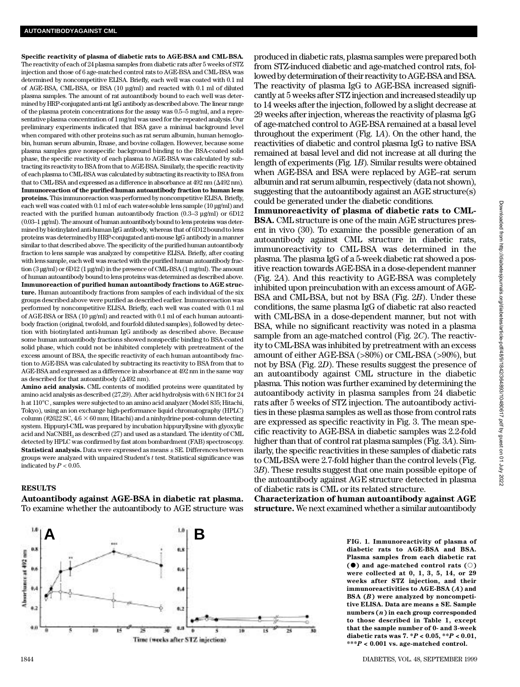Specific reactivity of plasma of diabetic rats to AGE-BSA and CML-BSA. The reactivity of each of 24 plasma samples from diabetic rats after 5 weeks of STZ injection and those of 6 age-matched control rats to AGE-BSA and CML-BSA was determined by noncompetitive ELISA. Briefly, each well was coated with 0.1 ml of AGE-BSA, CML-BSA, or BSA (10 µg/ml) and reacted with 0.1 ml of diluted plasma samples. The amount of rat autoantibody bound to each well was determined by HRP-conjugated anti-rat IgG antibody as described above. The linear range of the plasma protein concentrations for the assay was 0.5–5 mg/ml, and a representative plasma concentration of 1 mg/ml was used for the repeated analysis. Our preliminary experiments indicated that BSA gave a minimal background level when compared with other proteins such as rat serum albumin, human hemoglobin, human serum albumin, Rnase, and bovine collagen. However, because some plasma samples gave nonspecific background binding to the BSA-coated solid phase, the specific reactivity of each plasma to AGE-BSA was calculated by subtracting its reactivity to BSA from that to AGE-BSA. Similarly, the specific reactivity of each plasma to CML-BSA was calculated by subtracting its reactivity to BSA from that to CML-BSA and expressed as a difference in absorbance at  $492$  nm ( $\Delta 492$  nm). **Immunoreaction of the purified human autoantibody fraction to human lens** proteins. This immunoreaction was performed by noncompetitive ELISA. Briefly, each well was coated with 0.1 ml of each water-soluble lens sample (10 µg/ml) and reacted with the purified human autoantibody fraction (0.3–3 µg/ml) or 6D12 (0.03–1 µg/ml). The amount of human autoantibody bound to lens proteins was determined by biotinylated anti-human IgG antibody, whereas that of 6D12 bound to lens proteins was determined by HRP-conjugated anti-mouse IgG antibody in a manner similar to that described above. The specificity of the purified human autoantibody fraction to lens sample was analyzed by competitive ELISA. Briefly, after coating with lens sample, each well was reacted with the purified human autoantibody fraction (3 µg/ml) or 6D12 (1 µg/ml) in the presence of CML-BSA (1 mg/ml). The amount of human autoantibody bound to lens proteins was determined as described above. **Immunoreaction of purified human autoantibody fractions to AGE struc**ture. Human autoantibody fractions from samples of each individual of the six groups described above were purified as described earlier. Immunoreaction was performed by noncompetitive ELISA. Briefly, each well was coated with 0.1 ml of AGE-BSA or BSA (10 µg/ml) and reacted with 0.1 ml of each human autoantibody fraction (original, twofold, and fourfold diluted samples), followed by detection with biotinylated anti-human IgG antibody as described above. Because some human autoantibody fractions showed nonspecific binding to BSA-coated solid phase, which could not be inhibited completely with pretreatment of the excess amount of BSA, the specific reactivity of each human autoantibody fraction to AGE-BSA was calculated by subtracting its reactivity to BSA from that to AGE-BSA and expressed as a difference in absorbance at 492 nm in the same way as described for that autoantibody ( $\Delta 492$  nm).

**Amino acid analysis.** CML contents of modified proteins were quantitated by amino acid analysis as described (27,29). After acid hydrolysis with 6 N HCl for 24 h at 110°C , samples were subjected to an amino acid analyzer (Model 835; Hitachi, Tokyo), using an ion exchange high-performance liquid chromatography (HPLC) column (#2622 SC,  $4.6 \times 60$  mm; Hitachi) and a ninhydrine post-column detecting system. Hippuryl-CML was prepared by incubation hippuryllysine with glyoxylic acid and  $\mathrm{NaCNBH}_{3}$  as described (27) and used as a standard. The identity of CML detected by HPLC was confirmed by fast atom bombardment (FAB) spectroscopy. **Statistical analysis.** Data were expressed as means ± SE. Differences between groups were analyzed with unpaired Student's *t* test. Statistical significance was indicated by  $P < 0.05$ .

## **RESULTS**

**Autoantibody against AGE-BSA in diabetic rat plasma.** To examine whether the autoantibody to AGE structure was



**Immunoreactivity of plasma of diabetic rats to CML-BSA.** CML structure is one of the main AGE structures present in vivo (30). To examine the possible generation of an autoantibody against CML structure in diabetic rats, immunoreactivity to CML-BSA was determined in the plasma. The plasma IgG of a 5-week diabetic rat showed a positive reaction towards AGE-BSA in a dose-dependent manner (Fig. 2*A*). And this reactivity to AGE-BSA was completely inhibited upon preincubation with an excess amount of AGE-BSA and CML-BSA, but not by BSA (Fig. 2*B*). Under these conditions, the same plasma IgG of diabetic rat also reacted with CML-BSA in a dose-dependent manner, but not with BSA, while no significant reactivity was noted in a plasma sample from an age-matched control (Fig. 2*C*). The reactivity to CML-BSA was inhibited by pretreatment with an excess amount of either AGE-BSA (>80%) or CML-BSA (>90%), but not by BSA (Fig. 2*D*). These results suggest the presence of an autoantibody against CML structure in the diabetic plasma. This notion was further examined by determining the autoantibody activity in plasma samples from 24 diabetic rats after 5 weeks of STZ injection. The autoantibody activities in these plasma samples as well as those from control rats are expressed as specific reactivity in Fig. 3. The mean specific reactivity to AGE-BSA in diabetic samples was 2.2-fold higher than that of control rat plasma samples (Fig. 3*A*). Similarly, the specific reactivities in these samples of diabetic rats to CML-BSA were 2.7-fold higher than the control levels (Fig. 3*B*). These results suggest that one main possible epitope of the autoantibody against AGE structure detected in plasma of diabetic rats is CML or its related structure.

**Characterization of human autoantibody against AGE structure.** We next examined whether a similar autoantibody



**FIG. 1***.* **Immunoreactivity of plasma of diabetic rats to AGE-BSA and BSA. Plasma samples from each diabetic rat**  $($  $\bullet$  $)$  and age-matched control rats  $($  $\circ$  $)$ **were collected at 0, 1, 3, 5, 14, or 29 weeks after STZ injection, and their immunoreactivities to AGE-BSA (***A***) and BSA (***B***) were analyzed by noncompetitive ELISA. Data are means ± SE. Sample numbers (***n***) in each group corresponded to those described in Table 1, except that the sample number of 0- and 3-week diabetic rats was 7. \****P* **< 0.05, \*\****P* **< 0.01, \* \* \****P* **< 0.001 vs. age-matched control.**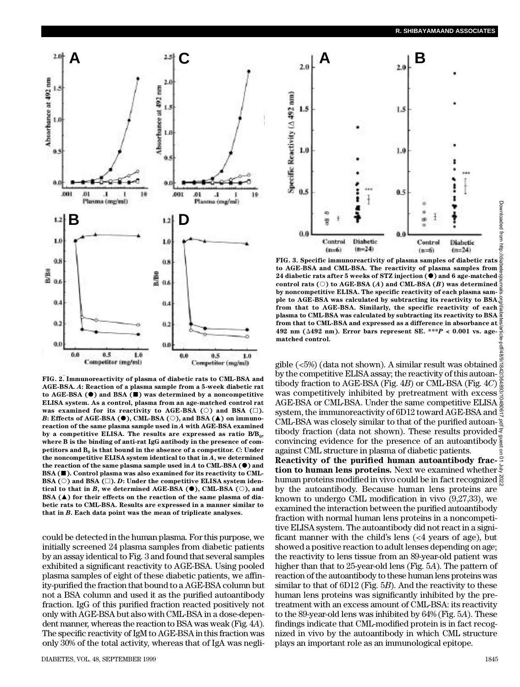

**FIG. 2. Immunoreactivity of plasma of diabetic rats to CML-BSA and AGE-BSA.** *A***: Reaction of a plasma sample from a 5-week diabetic rat to AGE-BSA (**d**) and BSA (**j**) was determined by a noncompetitive ELISA system. As a control, plasma from an age-matched control rat was examined for its reactivity to AGE-BSA (** $\circ$ **) and BSA (** $\Box$ **).** *B***: Effects of AGE-BSA (** $\bullet$ **), CML-BSA (** $\circ$ **), and BSA (** $\blacktriangle$ **) on immunoreaction of the same plasma sample used in** *A* **with AGE-BSA examined by a competitive ELISA. The results are expressed as ratio B/B<sup>0</sup> , where B is the binding of anti-rat IgG antibody in the presence of competitors and B<sup>0</sup> is that bound in the absence of a competitor.** *C***: Under the noncompetitive ELISA system identical to that in** *A***, we determined the reaction of the same plasma sample used in** *A* **to CML-BSA (**d**) and** BSA ( $\blacksquare$ ). Control plasma was also examined for its reactivity to CML-BSA ( $\circ$ ) and BSA ( $\Box$ ). *D*: Under the competitive ELISA system iden**tical to that in** *B***, we determined AGE-BSA**  $(\bullet)$ **, CML-BSA**  $(\circ)$ **, and BSA** ( $\blacktriangle$ ) for their effects on the reaction of the same plasma of dia**betic rats to CML-BSA. Results are expressed in a manner similar to that in** *B***. Each data point was the mean of triplicate analyses.**

could be detected in the human plasma. For this purpose, we initially screened 24 plasma samples from diabetic patients by an assay identical to Fig. 3 and found that several samples exhibited a significant reactivity to AGE-BSA. Using pooled plasma samples of eight of these diabetic patients, we affinity-purified the fraction that bound to a AGE-BSA column but not a BSA column and used it as the purified autoantibody fraction. IgG of this purified fraction reacted positively not only with AGE-BSA but also with CML-BSA in a dose-dependent manner, whereas the reaction to BSA was weak (Fig. 4*A*) . The specific reactivity of IgM to AGE-BSA in this fraction was only 30% of the total activity, whereas that of IgA was negliDownloaded from http:



**FIG. 3. Specific immunoreactivity of plasma samples of diabetic rats to AGE-BSA and CML-BSA. The reactivity of plasma samples from 24 diabetic rats after 5 weeks of STZ injection (**d**) and 6 age-matched**  $control$  rats  $(\circ)$  to AGE-BSA  $(A)$  and CML-BSA  $(B)$  was determined **by noncompetitive ELISA. The specific reactivity of each plasma sam**ple to AGE-BSA was calculated by subtracting its reactivity to  $BSA^{\circ}_{\alpha}$ **from that to AGE-BSA. Similarly, the specific reactivity of each plasma to CML-BSA was calculated by subtracting its reactivity to BSA from that to CML-BSA and expressed as a difference in absorbance at 492 nm (**D**492 nm). Error bars represent SE. \*\*\****P* **< 0.001 vs. agematched control.** Downloaded from http://diabetesjournals.org/diabetes/article-pdf/48/9/1842/364893/10480617.pdf by guest on 01 July 2022

gible (<5%) (data not shown). A similar result was obtained  $\frac{2}{8}$  gible (<5%) (data not shown). A similar result was obtained  $\frac{3}{8}$ by the competitive ELISA assay; the reactivity of this autoan- $\frac{R}{\alpha}$ tibody fraction to AGE-BSA (Fig. 4*B*) or CML-BSA (Fig. 4*C*) was competitively inhibited by pretreatment with excess AGE-BSA or CML-BSA. Under the same competitive ELISA  $\frac{5}{9}$ system, the immunoreactivity of 6D12 toward AGE-BSA and  $\frac{8}{3}$ CML-BSA was closely similar to that of the purified autoantibody fraction (data not shown). These results provided  $\frac{8}{3}$ convincing evidence for the presence of an autoantibody  $\frac{1}{2}$ against CML structure in plasma of diabetic patients.

**Reactivity of the purified human autoantibody fraction to human lens proteins.** Next we examined whether human proteins modified in vivo could be in fact recognized by the autoantibody. Because human lens proteins are known to undergo CML modification in vivo (9,27,33), we examined the interaction between the purified autoantibody fraction with normal human lens proteins in a noncompetitive ELISA system. The autoantibody did not react in a significant manner with the child's lens (<4 years of age), but showed a positive reaction to adult lenses depending on age; the reactivity to lens tissue from an 89-year-old patient was higher than that to 25-year-old lens (Fig. 5*A*). The pattern of reaction of the autoantibody to these human lens proteins was similar to that of 6D12 (Fig. 5*B*). And the reactivity to these human lens proteins was significantly inhibited by the pretreatment with an excess amount of CML-BSA: its reactivity to the 89-year-old lens was inhibited by 64% (Fig. 5*A*). These findings indicate that CML-modified protein is in fact recognized in vivo by the autoantibody in which CML structure plays an important role as an immunological epitope.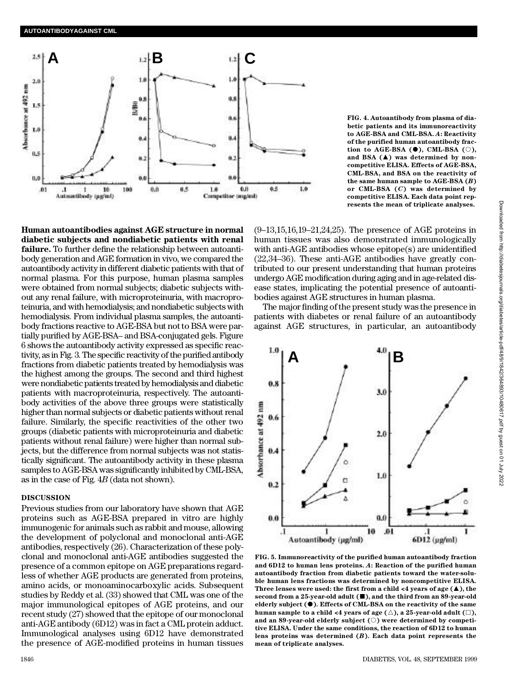

**Human autoantibodies against AGE structure in normal diabetic subjects and nondiabetic patients with renal failure.** To further define the relationship between autoantibody generation and AGE formation in vivo, we compared the autoantibody activity in different diabetic patients with that of normal plasma. For this purpose, human plasma samples were obtained from normal subjects; diabetic subjects without any renal failure, with microproteinuria, with macroproteinuria, and with hemodialysis; and nondiabetic subjects with hemodialysis. From individual plasma samples, the autoantibody fractions reactive to AGE-BSA but not to BSA were partially purified by AGE-BSA– and BSA-conjugated gels. Figure 6 shows the autoantibody activity expressed as specific reactivity, as in Fig. 3. The specific reactivity of the purified antibody fractions from diabetic patients treated by hemodialysis was the highest among the groups. The second and third highest were nondiabetic patients treated by hemodialysis and diabetic patients with macroproteinuria, respectively. The autoantibody activities of the above three groups were statistically higher than normal subjects or diabetic patients without renal failure. Similarly, the specific reactivities of the other two groups (diabetic patients with microproteinuria and diabetic patients without renal failure) were higher than normal subjects, but the difference from normal subjects was not statistically significant. The autoantibody activity in these plasma samples to AGE-BSA was significantly inhibited by CML-BSA, as in the case of Fig. 4*B* (data not shown).

### **DISCUSSION**

Previous studies from our laboratory have shown that AGE proteins such as AGE-BSA prepared in vitro are highly immunogenic for animals such as rabbit and mouse, allowing the development of polyclonal and monoclonal anti-AGE antibodies, respectively (26). Characterization of these polyclonal and monoclonal anti-AGE antibodies suggested the presence of a common epitope on AGE preparations regardless of whether AGE products are generated from proteins, amino acids, or monoaminocarboxylic acids. Subsequent studies by Reddy et al. (33) showed that CML was one of the major immunological epitopes of AGE proteins, and our recent study (27) showed that the epitope of our monoclonal anti-AGE antibody (6D12) was in fact a CML protein adduct. Immunological analyses using 6D12 have demonstrated the presence of AGE-modified proteins in human tissues **FIG. 4. Autoantibody from plasma of diabetic patients and its immunoreactivity to AGE-BSA and CML-BSA.** *A***: Reactivity of the purified human autoantibody fraction to AGE-BSA (** $\bullet$ **), CML-BSA (** $\circ$ **),** and BSA ( $\triangle$ ) was determined by non**competitive ELISA. Effects of AGE-BSA, CML-BSA, and BSA on the reactivity of the same human sample to AGE-BSA (***B***) or CML-BSA (***C***) was determined by competitive ELISA. Each data point represents the mean of triplicate analyses.**

(9–13,15,16,19–21,24,25). The presence of AGE proteins in human tissues was also demonstrated immunologically with anti-AGE antibodies whose epitope(s) are unidentified (22,34–36). These anti-AGE antibodies have greatly contributed to our present understanding that human proteins undergo AGE modification during aging and in age-related disease states, implicating the potential presence of autoantibodies against AGE structures in human plasma.

The major finding of the present study was the presence in patients with diabetes or renal failure of an autoantibody against AGE structures, in particular, an autoantibody



**FIG. 5. Immunoreactivity of the purified human autoantibody fraction and 6D12 to human lens proteins.** *A***: Reaction of the purified human** autoantibody fraction from diabetic patients toward the water-solu**ble human lens fractions was determined by noncompetitive ELISA. Three lenses were used: the first from a child**  $\leq 4$  **years of age (** $\blacktriangle$ **), the** second from a 25-year-old adult ( $\blacksquare$ ), and the third from an 89-year-old **elderly subject (**d**). Effects of CML-BSA on the reactivity of the same human sample to a child <4 years of age (** $\triangle$ **), a 25-year-old adult (** $\Box$ **),** and an 89-year-old elderly subject ( $\circ$ ) were determined by competi**tive ELISA. Under the same conditions, the reaction of 6D12 to human lens proteins was determined (***B***). Each data point represents the mean of triplicate analyses.**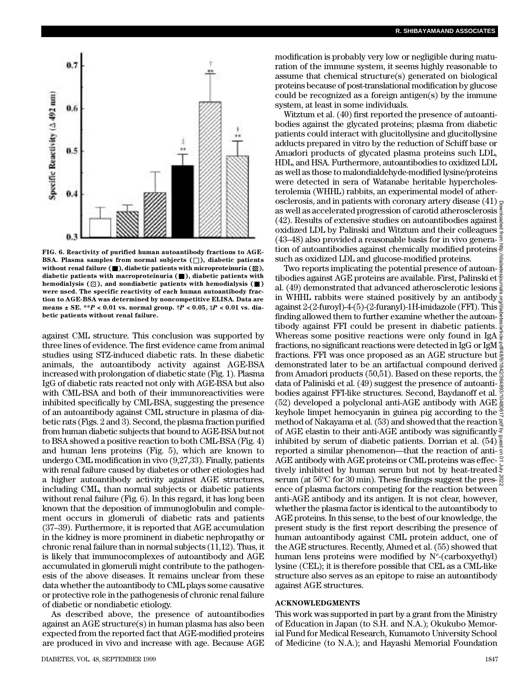

**FIG. 6. Reactivity of purified human autoantibody fractions to AGE-BSA. Plasma samples from normal subjects**  $(\Box)$ **, diabetic patients** without renal failure  $(\blacksquare)$ , diabetic patients with microproteinuria  $(\boxtimes)$ , diabetic patients with macroproteinuria ( $\blacksquare$ ), diabetic patients with hemodialysis  $(\mathbb{Z})$ , and nondiabetic patients with hemodialysis  $(\blacksquare)$ **were used. The specific reactivity of each human autoantibody fraction to AGE-BSA was determined by noncompetitive ELISA. Data are means ± SE. \*\****P* **< 0.01 vs. normal group. †***P* **< 0.05, ‡***P* **< 0.01 vs. diabetic patients without renal failure.** 

against CML structure. This conclusion was supported by three lines of evidence. The first evidence came from animal studies using STZ-induced diabetic rats. In these diabetic animals, the autoantibody activity against AGE-BSA increased with prolongation of diabetic state (Fig. 1). Plasma IgG of diabetic rats reacted not only with AGE-BSA but also with CML-BSA and both of their immunoreactivities were inhibited specifically by CML-BSA, suggesting the presence of an autoantibody against CML structure in plasma of diabetic rats (Figs. 2 and 3). Second, the plasma fraction purified from human diabetic subjects that bound to AGE-BSA but not to BSA showed a positive reaction to both CML-BSA (Fig. 4) and human lens proteins (Fig. 5), which are known to undergo CML modification in vivo (9,27,33). Finally, patients with renal failure caused by diabetes or other etiologies had a higher autoantibody activity against AGE structures, including CML, than normal subjects or diabetic patients without renal failure (Fig. 6). In this regard, it has long been known that the deposition of immunoglobulin and complement occurs in glomeruli of diabetic rats and patients (37–39). Furthermore, it is reported that AGE accumulation in the kidney is more prominent in diabetic nephropathy or chronic renal failure than in normal subjects (11,12). Thus, it is likely that immunocomplexes of autoantibody and AGE accumulated in glomeruli might contribute to the pathogenesis of the above diseases. It remains unclear from these data whether the autoantibody to CML plays some causative or protective role in the pathogenesis of chronic renal failure of diabetic or nondiabetic etiology.

As described above, the presence of autoantibodies against an AGE structure(s) in human plasma has also been expected from the reported fact that AGE-modified proteins are produced in vivo and increase with age. Because AGE modification is probably very low or negligible during maturation of the immune system, it seems highly reasonable to assume that chemical structure(s) generated on biological proteins because of post-translational modification by glucose could be recognized as a foreign antigen(s) by the immune system, at least in some individuals.

Witztum et al. (40) first reported the presence of autoantibodies against the glycated proteins; plasma from diabetic patients could interact with glucitollysine and glucitollysine adducts prepared in vitro by the reduction of Schiff base or Amadori products of glycated plasma proteins such LDL, HDL, and HSA. Furthermore, autoantibodies to oxidized LDL as well as those to malondialdehyde-modified lysine/proteins were detected in sera of Watanabe heritable hypercholesterolemia (WHHL) rabbits, an experimental model of atherosclerosis, and in patients with coronary artery disease  $(41)$   $\approx$ as well as accelerated progression of carotid atherosclerosis (42). Results of extensive studies on autoantibodies against oxidized LDL by Palinski and Witztum and their colleagues (43–48) also provided a reasonable basis for in vivo generation of autoantibodies against chemically modified proteins such as oxidized LDL and glucose-modified proteins.

Two reports implicating the potential presence of autoantibodies against AGE proteins are available. First, Palinski et al. (49) demonstrated that advanced atherosclerotic lesions  $\frac{3}{2}$ in WHHL rabbits were stained positively by an antibody  $\frac{8}{9}$ <br>example 1.0 fmonth 4.6 \ 0 fmonth LH-imidazole (FFI) This against 2-(2-furoyl)-4-(5)-(2-furanyl)-1H-imidazole (FFI). This finding allowed them to further examine whether the autoan- $\frac{1}{2}$ tibody against FFI could be present in diabetic patients. Whereas some positive reactions were only found in IgA fractions, no significant reactions were detected in IgG or IgM fractions. FFI was once proposed as an AGE structure but demonstrated later to be an artifactual compound derived  $\frac{3}{8}$ from Amadori products (50,51). Based on these reports, the  $\frac{5}{3}$ data of Paliniski et al. (49) suggest the presence of autoantibodies against FFI-like structures. Second, Baydanoff et al. (52) developed a polyclonal anti-AGE antibody with AGE  $\frac{5}{6}$ keyhole limpet hemocyanin in guinea pig according to the  $\frac{5}{3}$ method of Nakayama et al.  $(53)$  and showed that the reaction  $\frac{5}{4}$ of AGE elastin to their anti-AGE antibody was significantly. inhibited by serum of diabetic patients. Dorrian et al.  $(54)$ <sup> $\frac{2}{9}$ </sup> reported a similar phenomenon—that the reaction of anti-AGE antibody with AGE proteins or CML proteins was effec- $\frac{3}{2}$ tively inhibited by human serum but not by heat-treated serum (at  $56^{\circ}$ C for 30 min). These findings suggest the pres- $\frac{2}{5}$ ence of plasma factors competing for the reaction between anti-AGE antibody and its antigen. It is not clear, however, whether the plasma factor is identical to the autoantibody to AGE proteins. In this sense, to the best of our knowledge, the present study is the first report describing the presence of human autoantibody against CML protein adduct, one of the AGE structures. Recently, Ahmed et al. (55) showed that human lens proteins were modified by  $N^{\varepsilon}$ -(carboxyethyl) lysine (CEL); it is therefore possible that CEL as a CML-like structure also serves as an epitope to raise an autoantibody against AGE structures. Downloaded from http://diabetesjournals.org/diabetes/article-pdf/48/9/1842/364893/10480617.pdf by guest on 01 July 2022

## **A C K N O W L E D G M E N T S**

This work was supported in part by a grant from the Ministry of Education in Japan (to S.H. and N.A.); Okukubo Memorial Fund for Medical Research, Kumamoto University School of Medicine (to N.A.); and Hayashi Memorial Foundation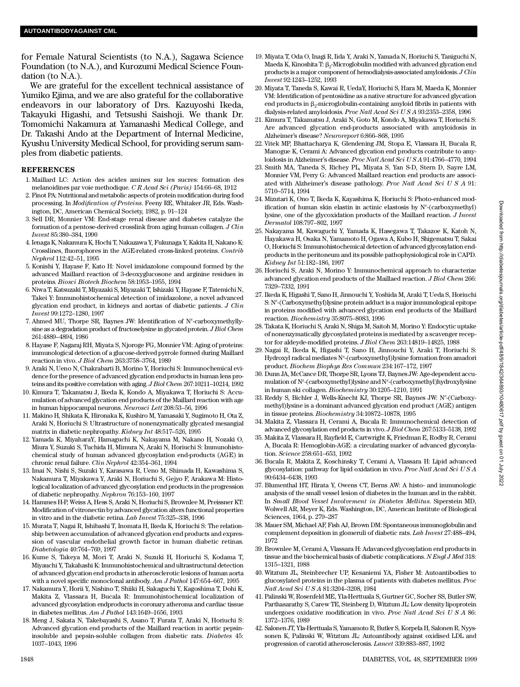for Female Natural Scientists (to N.A.), Sagawa Science Foundation (to N.A.), and Kurozumi Medical Science Foundation (to N.A.).

We are grateful for the excellent technical assistance of Yumiko Ejima, and we are also grateful for the collaborative endeavors in our laboratory of Drs. Kazuyoshi Ikeda, Takayuki Higashi, and Tetsushi Saishoji. We thank Dr. Tomomichi Nakamura at Yamanashi Medical College, and Dr. Takashi Ando at the Department of Internal Medicine, Kyushu University Medical School, for providing serum samples from diabetic patients.

### **R E F E R E N C E S**

- 1 . Maillard LC: Action des acides amines sur les sucres: formation des melanoidines par voie methodique. *C R Acad Sci (Paris)* 154:66–68, 1912
- 2 . Finot PA: Nutritional and metabolic aspects of protein modification during food processing. In *Modification of Proteins*. Feeny RE, Whitaker JR, Eds. Washington, DC, American Chemical Society, 1982, p. 91–124
- 3 . Sell DR, Monnier VM: End-stage renal disease and diabetes catalyze the formation of a pentose-derived crosslink from aging human collagen. *J Clin I n v e s t* 85:380–384, 1990
- 4 . Ienaga K, Nakamura K, Hochi T, Nakazawa Y, Fukunaga Y, Kakita H, Nakano K: Crosslines, fluorophores in the AGE-related cross-linked proteins. *Contrib N e p h r o l* 112:42–51, 1995
- 5 . Konishi Y, Hayase F, Kato H: Novel imidazolone compound formed by the advanced Maillard reaction of 3-deoxyglucosone and arginine residues in proteins. *Biosci Biotech Biochem* 58:1953–1955, 1994
- 6 . Niwa T, Katsuzaki T, Miyazaki S, Miyazaki T, Ishizaki Y, Hayase F, Tatemichi N, Takei Y: Immunohistochemical detection of imidazolone, a novel advanced glycation end product, in kidneys and aortas of diabetic patients. *J Clin Invest* 99:1272–1280, 1997
- 7. Ahmed MU, Thorpe SR, Baynes JW: Identification of N<sup>ε</sup>-carboxymethyllysine as a degradation product of fructoselysine in glycated protein. *J Biol Chem* 261:4889–4894, 1986
- 8 . Hayase F, Nagaraj RH, Miyata S, Njoroge FG, Monnier VM: Aging of proteins: immunological detection of a glucose-derived pyrrole formed during Maillard reaction in vivo. *J Biol Chem* 263:3758–3764, 1989
- 9 . Araki N, Ueno N, Chakrabarti B, Morino Y, Horiuchi S: Immunochemical evidence for the presence of advanced glycation end products in human lens proteins and its positive correlation with aging. *J Biol Chem* 267:10211–10214, 1992
- 1 0 . Kimura T, Takamatsu J, Ikeda K, Kondo A, Miyakawa T, Horiuchi S: Accumulation of advanced glycation end products of the Maillard reaction with age in human hippocampal neurons. *Neurosci Lett* 208:53–56, 1996
- 1 1 . Makino H, Shikata K, Hironaka K, Kushiro M, Yamasaki Y, Sugimoto H, Ota Z, Araki N, Horiuchi S: Ultrastructure of nonenzymatically glycated mesangial matrix in diabetic nephropathy. *Kidney Int* 48:517–526, 1995
- 12. Yamada K, MiyaharaY, Hamaguchi K, Nakayama M, Nakano H, Nozaki O, Miura Y, Suzuki S, Tuchida H, Mimura N, Araki N, Horiuchi S: Immunohistochemical study of human advanced glycosylation end-products (AGE) in chronic renal failure. *Clin Nephrol* 42:354–361, 1994
- 1 3 . Imai N, Nishi S, Suzuki Y, Karasawa R, Ueno M, Shimada H, Kawashima S, Nakamura T, Miyakawa Y, Araki N, Horiuchi S, Gejyo F, Arakawa M: Histological localization of advanced glycosylation end products in the progression of diabetic nephropathy. *Nephron* 76:153-160, 1997
- 1 4 . Hammes H-P, Weiss A, Hess S, Araki N, Horiuchi S, Brownlee M, Preissner KT: Modification of vitronectin by advanced glycation alters functional properties in vitro and in the diabetic retina. *Lab Invest* 75:325–338, 1996
- 1 5 . Murata T, Nagai R, Ishibashi T, Inomata H, Ikeda K, Horiuchi S: The relationship between accumulation of advanced glycation end products and expression of vascular endothelial growth factor in human diabetic retinas. *Diabetologia* 40:764–769, 1997
- 1 6 . Kume S, Takeya M, Mori T, Araki N, Suzuki H, Horiuchi S, Kodama T, Miyauchi Y, Takahashi K: Immunohistochemical and ultrastructural detection of advanced glycation end products in atherosclerotic lesions of human aorta with a novel specific monoclonal antibody. *Am J Pathol* 147:654–667, 1995
- 1 7 . Nakamura Y, Horii Y, Nishino T, Shiiki H, Sakaguchi Y, Kagoshima T, Dohi K, Makita Z, Vlassara H, Bucala R: Immunohistochemical localization of advanced glycosylation endproducts in coronary atheroma and cardiac tissue in diabetes mellitus. *Am J Pathol* 143:1649–1656, 1993
- 1 8 . Meng J, Sakata N, Takebayashi S, Asano T, Furata T, Araki N, Horiuchi S: Advanced glycation end products of the Maillard reaction in aortic pepsininsoluble and pepsin-soluble collagen from diabetic rats. *Diabetes* 45: 1037–1043, 1996
- 1 9 . Miyata T, Oda O, Inagi R, Iida Y, Araki N, Yamada N, Horiuchi S, Taniguchi N, Maeda K, Kinoshita T:  $\beta_2$ -Microglobulin modified with advanced glycation end products is a major component of hemodialysis-associated amyloidosis. *J Clin I n v e s t* 92:1243–1252, 1993
- 2 0 . Miyata T, Taneda S, Kawai R, UedaY, Horiuchi S, Hara M, Maeda K, Monnier VM: Identification of pentosidine as a native structure for advanced glycation end products in  $\beta_2$ -microglobulin-containing amyloid fibrils in patients with dialysis-related amyloidosis. *Proc Natl Acad Sci U S A* 93:2353–2358, 1996
- 2 1 . Kimura T, Takamatsu J, Araki N, Goto M, Kondo A, Miyakawa T, Horiuchi S: Are advanced glycation end-products associated with amyloidosis in Alzheimer's disease? *Neuroreport* 6:866-868, 1995
- 22. Vitek MP, Bhattacharya K, Glendening JM, Stopa E, Vlassara H, Bucala R, Manogue K, Cerami A: Advanced glycation end products contribute to amyloidosis in Alzheimer's disease. *Proc Natl Acad Sci U S A* 91:4766–4770, 1994
- 23. Smith MA, Taneda S, Richey PL, Miyata S, Yan S-D, Stern D, Sayre LM, Monnier VM, Perry G: Advanced Maillard reaction end products are associated with Alzheimer's disease pathology. *Proc Natl Acad Sci U S A* 91: 5710–5714, 1994
- 24. Mizutari K, Ono T, Ikeda K, Kayashima K, Horiuchi S: Photo-enhanced modification of human skin elastin in actinic elastosis by  $N^{\varepsilon}$ -(carboxymethyl) lysine, one of the glycoxidation products of the Maillard reaction. *J Invest D e r m a t o l* 108:797–802, 1997
- 25. Nakayama M, Kawaguchi Y, Yamada K, Hasegawa T, Takazoe K, Katoh N, Hayakawa H, Osaka N, Yamamoto H, Ogawa A, Kubo H, Shigematsu T, Sakai O, Horiuchi S: Immunohistochemical detection of advanced glycosylation endproducts in the peritoneum and its possible pathophysiological role in CAPD. *Kidney Int* 51:182–186, 1997
- 26. Horiuchi S, Araki N, Morino Y: Immunochemical approach to characterize advanced glycation end products of the Maillaed reaction. *J Biol Chem* 266: 7329–7332, 1991
- 2 7 . Ikeda K, Higashi T, Sano H, Jinnouchi Y, Yoshida M, Araki T, Ueda S, Horiuchi S: N<sup>®</sup>-(Carboxymethyl)lysine protein adduct is a major immunological epitope in proteins modified with advanced glycation end products of the Maillard reaction. *Biochemistry* 35:8075-8083, 1996
- 28. Takata K, Horiuchi S, Araki N, Shiga M, Saitoh M, Morino Y: Endocytic uptake of nonenzymatically glycosylated proteins is mediated by a scavenger receptor for aldeyde-modified proteins. *J Biol Chem* 263:14819–14825, 1988
- 29. Nagai R, Ikeda K, Higashi T, Sano H, Jinnouchi Y, Araki T, Horiuchi S: Hydroxyl radical mediates N<sup>e</sup>-(carboxymethyl)lysine formation from amadori product. *Biochem Biophys Res Commun* 234:167–172, 1997
- 3 0 . Dunn JA, McCance DR, Thorpe SR, Lyons TJ, Baynes JW: Age-dependent accumulation of N<sup>®</sup>-(carboxymethyl)lysine and N<sup>®</sup>-(carboxymethyl)hydroxylysine in human ski collagen. *Biochemistry* 30:1205-1210, 1991
- 33. Reddy S, Bichler J, Wells-Knecht KJ, Thorpe SR, Baynes JW: N<sup>®</sup>-(Carboxymethyl)lysine is a dominant advanced glycation end product (AGE) antigen in tissue proteins. *Biochemistry* 34:10872-10878, 1995
- 3 4 . Makita Z, Vlassara H, Cerami A, Bucala R: Immunochemical detection of advanced glycosylation end products in vivo. *J Biol Chem* 267:5133–5138, 1992
- 35. Makita Z, Vlassara H, Rayfield E, Cartwright K, Friedman E, Rodby R, Cerami A, Bucala R: Hemoglobin-AGE: a circulating marker of advanced glycosylation. *Science* 258:651-653, 1992
- 3 6 . Bucala R, Makita Z, Koschinsky T, Cerami A, Vlassara H: Lipid advanced glycosylation: pathway for lipid oxidation in vivo. *Proc Natl Acad Sci U S A* 90:6434–6438, 1993
- 37. Blumenthal HT, Hirata Y, Owens CT, Berns AW: A histo- and immunologic analysis of the small vessel lesion of diabetes in the human and in the rabbit. In *Small Blood Vessel Involvement in Diabetes Mellitus*. Siperstein MD, Wolwell AR, Meyer K, Eds. Washington, DC, American Institute of Biological Sciences, 1964, p. 279–287
- 3 8 . Mauer SM, Michael AF, Fish AJ, Brown DM: Spontaneous immunoglobulin and complement deposition in glomeruli of diabetic rats. *Lab Invest* 27:488-494, 1972
- 3 9 . Brownlee M, Cerami A, Vlassara H: Adavanced glycosylation end products in tissue and the biochemical basis of diabetic complications. *N Engl J Med* 318: 1315–1321, 1988
- 4 0 . Witztum JL, Steinbrecher UP, Kesaniemi YA, Fisher M: Autoantibodies to glucosylated proteins in the plasma of patients with diabetes mellitus. *Proc Natl Acad Sci U S A* 81:3204–3208, 1984
- 4 1 . Palinski W, Rosenfeld ME, Yla-Herttuala S, Gurtner GC, Socher SS, Butler SW, Parthasarathy S, Carew TE, Steinberg D, Witztum JL: Low density lipoprotein undergoes oxidative modification in vivo. Proc Natl Acad Sci U S A 86: 1372–1376, 1989
- 4 2 . Salonen JT, Yla-Herttuala S, Yamamoto R, Butler S, Korpela H, Salonen R, Nyyssonen K, Palinski W, Witztum JL: Autoantibody against oxidised LDL and progression of carotid atherosclerosis. *Lancet* 339:883–887, 1992